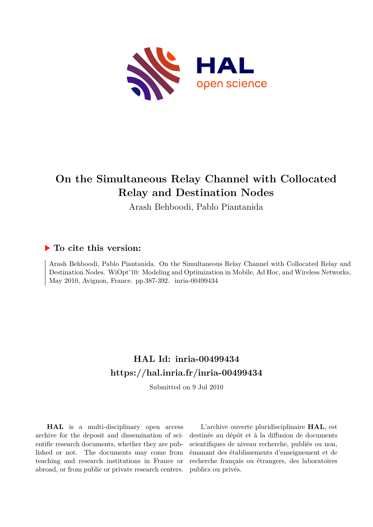

## **On the Simultaneous Relay Channel with Collocated Relay and Destination Nodes**

Arash Behboodi, Pablo Piantanida

### **To cite this version:**

Arash Behboodi, Pablo Piantanida. On the Simultaneous Relay Channel with Collocated Relay and Destination Nodes. WiOpt'10: Modeling and Optimization in Mobile, Ad Hoc, and Wireless Networks, May 2010, Avignon, France. pp.387-392. inria-00499434

## **HAL Id: inria-00499434 <https://hal.inria.fr/inria-00499434>**

Submitted on 9 Jul 2010

**HAL** is a multi-disciplinary open access archive for the deposit and dissemination of scientific research documents, whether they are published or not. The documents may come from teaching and research institutions in France or abroad, or from public or private research centers.

L'archive ouverte pluridisciplinaire **HAL**, est destinée au dépôt et à la diffusion de documents scientifiques de niveau recherche, publiés ou non, émanant des établissements d'enseignement et de recherche français ou étrangers, des laboratoires publics ou privés.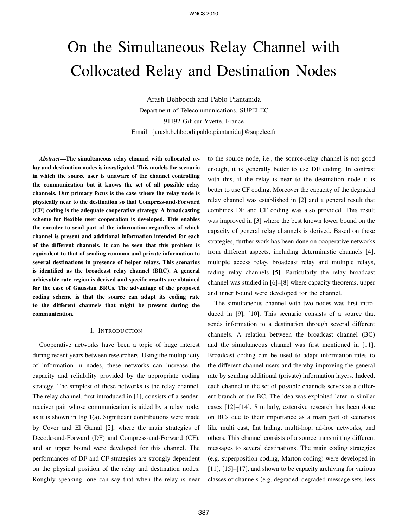# On the Simultaneous Relay Channel with Collocated Relay and Destination Nodes

Arash Behboodi and Pablo Piantanida Department of Telecommunications, SUPELEC 91192 Gif-sur-Yvette, France Email: {arash.behboodi,pablo.piantanida}@supelec.fr

*Abstract*—The simultaneous relay channel with collocated relay and destination nodes is investigated. This models the scenario in which the source user is unaware of the channel controlling the communication but it knows the set of all possible relay channels. Our primary focus is the case where the relay node is physically near to the destination so that Compress-and-Forward (CF) coding is the adequate cooperative strategy. A broadcasting scheme for flexible user cooperation is developed. This enables the encoder to send part of the information regardless of which channel is present and additional information intended for each of the different channels. It can be seen that this problem is equivalent to that of sending common and private information to several destinations in presence of helper relays. This scenarios is identified as the broadcast relay channel (BRC). A general achievable rate region is derived and specific results are obtained for the case of Gaussian BRCs. The advantage of the proposed coding scheme is that the source can adapt its coding rate to the different channels that might be present during the communication.

#### I. INTRODUCTION

Cooperative networks have been a topic of huge interest during recent years between researchers. Using the multiplicity of information in nodes, these networks can increase the capacity and reliability provided by the appropriate coding strategy. The simplest of these networks is the relay channel. The relay channel, first introduced in [1], consists of a senderreceiver pair whose communication is aided by a relay node, as it is shown in Fig.1(a). Significant contributions were made by Cover and El Gamal [2], where the main strategies of Decode-and-Forward (DF) and Compress-and-Forward (CF), and an upper bound were developed for this channel. The performances of DF and CF strategies are strongly dependent on the physical position of the relay and destination nodes. Roughly speaking, one can say that when the relay is near

to the source node, i.e., the source-relay channel is not good enough, it is generally better to use DF coding. In contrast with this, if the relay is near to the destination node it is better to use CF coding. Moreover the capacity of the degraded relay channel was established in [2] and a general result that combines DF and CF coding was also provided. This result was improved in [3] where the best known lower bound on the capacity of general relay channels is derived. Based on these strategies, further work has been done on cooperative networks from different aspects, including deterministic channels [4], multiple access relay, broadcast relay and multiple relays, fading relay channels [5]. Particularly the relay broadcast channel was studied in [6]–[8] where capacity theorems, upper and inner bound were developed for the channel.

The simultaneous channel with two nodes was first introduced in [9], [10]. This scenario consists of a source that sends information to a destination through several different channels. A relation between the broadcast channel (BC) and the simultaneous channel was first mentioned in [11]. Broadcast coding can be used to adapt information-rates to the different channel users and thereby improving the general rate by sending additional (private) information layers. Indeed, each channel in the set of possible channels serves as a different branch of the BC. The idea was exploited later in similar cases [12]–[14]. Similarly, extensive research has been done on BCs due to their importance as a main part of scenarios like multi cast, flat fading, multi-hop, ad-hoc networks, and others. This channel consists of a source transmitting different messages to several destinations. The main coding strategies (e.g. superposition coding, Marton coding) were developed in [11], [15]–[17], and shown to be capacity archiving for various classes of channels (e.g. degraded, degraded message sets, less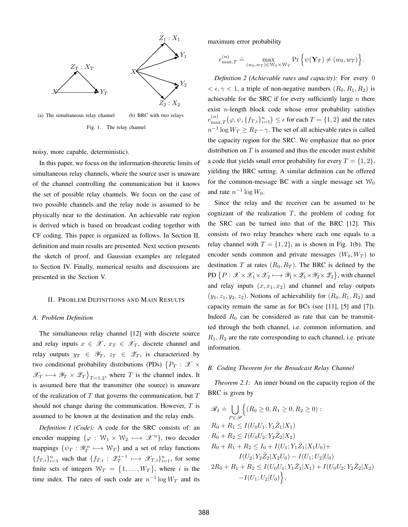

noisy, more capable, deterministic).

In this paper, we focus on the information-theoretic limits of simultaneous relay channels, where the source user is unaware of the channel controlling the communication but it knows the set of possible relay channels. We focus on the case of two possible channels and the relay node is assumed to be physically near to the destination. An achievable rate region is derived which is based on broadcast coding together with CF coding. This paper is organized as follows. In Section II, definition and main results are presented. Next section presents the sketch of proof, and Gaussian examples are relegated to Section IV. Finally, numerical results and discussions are presented in the Section V.

#### II. PROBLEM DEFINITIONS AND MAIN RESULTS

#### *A. Problem Definition*

The simultaneous relay channel [12] with discrete source and relay inputs  $x \in \mathcal{X}$ ,  $x_T \in \mathcal{X}_T$ , discrete channel and relay outputs  $y_T \in \mathscr{Y}_T$ ,  $z_T \in \mathscr{Z}_T$ , is characterized by two conditional probability distributions (PDs)  $\{P_T: \mathscr{X} \times$  $\mathscr{X}_T \longmapsto \mathscr{Y}_T \times \mathscr{Z}_T \big\}_{T=1,2}$ , where T is the channel index. It is assumed here that the transmitter (the source) is unaware of the realization of  $T$  that governs the communication, but  $T$ should not change during the communication. However,  $T$  is assumed to be known at the destination and the relay ends.

*Definition 1 (Code):* A code for the SRC consists of: an encoder mapping  $\{\varphi : \mathcal{W}_1 \times \mathcal{W}_2 \longmapsto \mathscr{X}^n\}$ , two decoder mappings  $\{\psi_T : \mathcal{Y}_T^n \longmapsto \mathcal{W}_T\}$  and a set of relay functions  ${f_{T,i}}_{i=1}^n$  such that  ${f_{T,i} : \mathscr{Z}_T^{i-1} \longmapsto \mathscr{X}_{T,i}}_{i=1}^n$ , for some finite sets of integers  $W_T = \{1, ..., W_T\}$ , where i is the time index. The rates of such code are  $n^{-1} \log W_T$  and its maximum error probability

$$
e^{(n)}_{\max,T} \doteq \max_{(w_0,w_T)\in \mathcal{W}_0\times \mathcal{W}_T} \Pr\Big\{\psi(\mathbf{Y}_T) \neq (w_0,w_T)\Big\}.
$$

*Definition 2 (Achievable rates and capacity):* For every 0  $< \epsilon, \gamma < 1$ , a triple of non-negative numbers  $(R_0, R_1, R_2)$  is achievable for the SRC if for every sufficiently large  $n$  there exist  $n$ -length block code whose error probability satisfies  $e^{(n)}_{\max,T}(\varphi,\psi,\{f_{T,i}\}_{i=1}^n) \leq \epsilon$  for each  $T = \{1,2\}$  and the rates  $n^{-1} \log W_T \ge R_T - \gamma$ . The set of all achievable rates is called the capacity region for the SRC. We emphasize that no prior distribution on  $T$  is assumed and thus the encoder must exhibit a code that yields small error probability for every  $T = \{1, 2\}$ , yielding the BRC setting. A similar definition can be offered for the common-message BC with a single message set  $W_0$ and rate  $n^{-1} \log W_0$ .

Since the relay and the receiver can be assumed to be cognizant of the realization  $T$ , the problem of coding for the SRC can be turned into that of the BRC [12]. This consists of two relay branches where each one equals to a relay channel with  $T = \{1, 2\}$ , as is shown in Fig. 1(b). The encoder sends common and private messages  $(W_0, W_T)$  to destination T at rates  $(R_0, R_T)$ . The BRC is defined by the PD  $\{P: \mathscr{X} \times \mathscr{X}_1 \times \mathscr{X}_2 \longmapsto \mathscr{Y}_1 \times \mathscr{Y}_1 \times \mathscr{Y}_2 \times \mathscr{Y}_2\}$ , with channel and relay inputs  $(x, x_1, x_2)$  and channel and relay outputs  $(y_1, z_1, y_2, z_2)$ . Notions of achievability for  $(R_0, R_1, R_2)$  and capacity remain the same as for BCs (see [11], [5] and [7]). Indeed  $R_0$  can be considered as rate that can be transmitted through the both channel, i.e. common information, and  $R_1, R_2$  are the rate corresponding to each channel, i.e. private information.

#### *B. Coding Theorem for the Broadcast Relay Channel*

*Theorem 2.1:* An inner bound on the capacity region of the BRC is given by

$$
\mathcal{R}_I \doteq \bigcup_{P \in \mathcal{P}} \Big\{ (R_0 \ge 0, R_1 \ge 0, R_2 \ge 0) : \nR_0 + R_1 \le I(U_0U_1; Y_1\hat{Z}_1 | X_1) \nR_0 + R_2 \le I(U_0U_2; Y_2\hat{Z}_2 | X_2) \nR_0 + R_1 + R_2 \le I_0 + I(U_1; Y_1\hat{Z}_1 | X_1U_0) + \nI(U_2; Y_2\hat{Z}_2 | X_2U_0) - I(U_1; U_2 | U_0) \n2R_0 + R_1 + R_2 \le I(U_0U_1; Y_1\hat{Z}_1 | X_1) + I(U_0U_2; Y_2\hat{Z}_2 | X_2) \n-I(U_1; U_2 | U_0) \Big\},
$$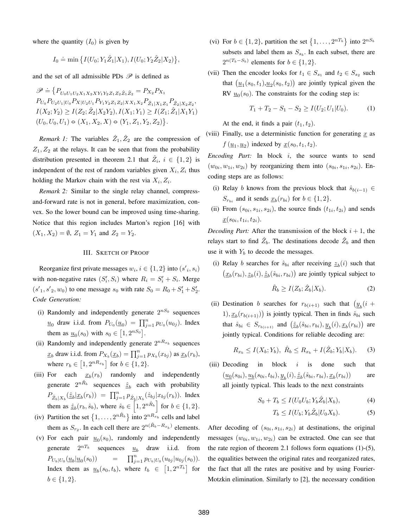where the quantity  $(I_0)$  is given by

$$
I_0 \doteq \min \big\{ I(U_0; Y_1 \hat{Z}_1 | X_1), I(U_0; Y_2 \hat{Z}_2 | X_2) \big\},\
$$

and the set of all admissible PDs  $\mathscr P$  is defined as

 $\mathscr{P} \doteq \left\{ P_{U_0 U_1 U_2 X_1 X_2 X Y_1 Y_2 Z_1 Z_2 \hat{Z}_1 \hat{Z}_2} = P_{X_2} P_{X_1} \right\}$  $P_{U_0}P_{U_2U_1|U_0}P_{X|U_2U_1}P_{Y_1Y_2Z_1Z_2|XX_1X_2}P_{\hat{Z}_1|X_1Z_1}P_{\hat{Z}_2|X_2Z_2},$  $I(X_2; Y_2) \geq I(Z_2; \hat{Z}_2 | X_2 Y_2), I(X_1; Y_1) \geq I(Z_1; \hat{Z}_1 | X_1 Y_1)$  $(U_0, U_0, U_1) \oplus (X_1, X_2, X) \oplus (Y_1, Z_1, Y_2, Z_2) \}.$ 

*Remark 1:* The variables  $\hat{Z}_1, \hat{Z}_2$  are the compression of  $Z_1, Z_2$  at the relays. It can be seen that from the probability distribution presented in theorem 2.1 that  $\hat{Z}_i$ ,  $i \in \{1,2\}$  is independent of the rest of random variables given  $X_i, Z_i$  thus holding the Markov chain with the rest via  $X_i, Z_i$ .

*Remark 2:* Similar to the single relay channel, compressand-forward rate is not in general, before maximization, convex. So the lower bound can be improved using time-sharing. Notice that this region includes Marton's region [16] with  $(X_1, X_2) = \emptyset$ ,  $Z_1 = Y_1$  and  $Z_2 = Y_2$ .

#### III. SKETCH OF PROOF

Reorganize first private messages  $w_i, i \in \{1, 2\}$  into  $(s'_i, s_i)$ with non-negative rates  $(S'_i, S_i)$  where  $R_i = S'_i + S_i$ . Merge  $(s'_1, s'_2, w_0)$  to one message  $s_0$  with rate  $S_0 = R_0 + S'_1 + S'_2$ . *Code Generation:*

- (i) Randomly and independently generate  $2^{nS_0}$  sequences  $\underline{u}_0$  draw i.i.d. from  $P_{U_0}(\underline{u}_0) = \prod_{j=1}^n p_{U_0}(u_{0j})$ . Index them as  $\underline{u}_0(s_0)$  with  $s_0 \in [1, 2^{nS_0}]$ .
- (ii) Randomly and independently generate  $2^{nR_{x_b}}$  sequences  $\underline{x}_b$  draw i.i.d. from  $P_{X_b}(\underline{x}_b) = \prod_{j=1}^n p_{X_b}(x_{bj})$  as  $\underline{x}_b(r_b)$ , where  $r_b \in [1, 2^{nR_x} \text{ or } b \in \{1, 2\}.$
- (iii) For each  $\underline{x}_b(r_b)$  randomly and independently generate  $2^{n\hat{R}_b}$  sequences  $\hat{\underline{z}}_b$  each with probability  $P_{\hat{Z}_b|X_b}(\hat{z}_b|\underline{x}_b(r_b)) = \prod_{j=1}^n p_{\hat{Z}_b|X_b}(\hat{z}_{bj}|x_{bj}(r_b)).$  Index them as  $\hat{z}_b(r_b, \hat{s}_b)$ , where  $\hat{s}_b \in \left[1, 2^{n\hat{R}_b}\right]$  for  $b \in \{1, 2\}$ .
- (iv) Partition the set  $\{1, \ldots, 2^{n\hat{R}_b}\}\$  into  $2^{nR_{x_b}}$  cells and label them as  $S_{r_2}$ . In each cell there are  $2^{n(\hat{R}_b - R_{x_b})}$  elements.
- (v) For each pair  $u_0(s_0)$ , randomly and independently generate  $2^{nT_b}$  sequences  $\underline{u}_b$  draw i.i.d. from  $P_{U_b|U_0}(\underline{u}_b|\underline{u}_0(s_0)) = \prod_{j=1}^n p_{U_b|U_0}(u_{bj}|u_{0j}(s_0)).$ Index them as  $\underline{u}_b(s_0, t_b)$ , where  $t_b \in [1, 2^{nT_b}]$  for  $b \in \{1, 2\}.$
- (vi) For  $b \in \{1, 2\}$ , partition the set  $\{1, \ldots, 2^{nT_b}\}$  into  $2^{nS_b}$ subsets and label them as  $S_{s_b}$ . In each subset, there are  $2^{n(T_b-S_b)}$  elements for  $b \in \{1,2\}.$
- (vii) Then the encoder looks for  $t_1 \in S_{s_1}$  and  $t_2 \in S_{s_2}$  such that  $(\underline{u}_1(s_0, t_1), \underline{u}_2(s_0, t_2))$  are jointly typical given the RV  $\underline{u}_0(s_0)$ . The constraints for the coding step is:

$$
T_1 + T_2 - S_1 - S_2 \ge I(U_2; U_1 | U_0).
$$
 (1)

At the end, it finds a pair  $(t_1, t_2)$ .

(viii) Finally, use a deterministic function for generating  $x$  as  $f(\underline{u}_1, \underline{u}_2)$  indexed by  $\underline{x}(s_0, t_1, t_2)$ .

*Encoding Part:* In block i, the source wants to send  $(w_{0i}, w_{1i}, w_{2i})$  by reorganizing them into  $(s_{0i}, s_{1i}, s_{2i})$ . Encoding steps are as follows:

- (i) Relay b knows from the previous block that  $\hat{s}_{b(i-1)} \in$  $S_{r_{bi}}$  and it sends  $\underline{x}_b(r_{bi})$  for  $b \in \{1, 2\}.$
- (ii) From  $(s_{0i}, s_{1i}, s_{2i})$ , the source finds  $(t_{1i}, t_{2i})$  and sends  $\underline{x}(s_{0i}, t_{1i}, t_{2i}).$

*Decoding Part:* After the transmission of the block  $i + 1$ , the relays start to find  $\hat{Z}_b$ . The destinations decode  $\hat{Z}_b$  and then use it with  $Y_b$  to decode the messages.

(i) Relay b searches for  $\hat{s}_{bi}$  after receiving  $z_b(i)$  such that  $(\underline{x}_b(r_{bi}), \underline{z}_b(i), \underline{\hat{z}}_b(\hat{s}_{bi}, r_{bi}))$  are jointly typical subject to

$$
\hat{R}_b \ge I(Z_b; \hat{Z}_b | X_b). \tag{2}
$$

(ii) Destination *b* searches for  $r_{b(i+1)}$  such that  $(\underline{y}_b(i +$  $(1), \underline{x}_b(r_{b(i+1)})$  is jointly typical. Then in finds  $\hat{s}_{bi}$  such that  $\hat{s}_{bi} \in S_{r_{b(i+1)}}$  and  $(\hat{z}_b(\hat{s}_{bi}, r_{bi}), \underline{y}_b(i), \underline{x}_b(r_{bi}))$  are jointly typical. Conditions for reliable decoding are:

 $R_{x_b} \le I(X_b; Y_b), \ \hat{R}_b \le R_{x_b} + I(\hat{Z}_b; Y_b | X_b).$  (3)

(iii) Decoding in block  $i$  is done such that  $(\underline{u_0}(s_{0i}), \underline{u_b}(s_{0i}, t_{bi}), \underline{y}_b(i), \hat{z}_b(\hat{s}_{bi}, r_{bi}), \underline{x}_b(r_{bi}))$  are all jointly typical. This leads to the next constraints

$$
S_0 + T_b \le I(U_0 U_b; Y_b \hat{Z}_b | X_b),\tag{4}
$$

$$
T_b \le I(U_b; Y_b \hat{Z}_b | U_0 X_b). \tag{5}
$$

After decoding of  $(s_{0i}, s_{1i}, s_{2i})$  at destinations, the original messages  $(w_{0i}, w_{1i}, w_{2i})$  can be extracted. One can see that the rate region of theorem 2.1 follows form equations  $(1)-(5)$ , the equalities between the original rates and reorganized rates, the fact that all the rates are positive and by using Fourier-Motzkin elimination. Similarly to [2], the necessary condition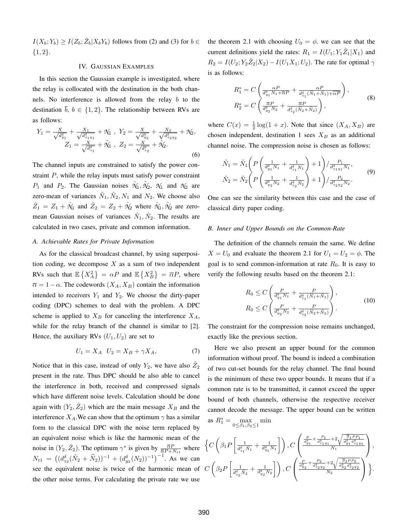$I(X_b; Y_b) \ge I(Z_b; \hat{Z}_b | X_b Y_b)$  follows from (2) and (3) for  $b \in$  ${1, 2}.$ 

#### IV. GAUSSIAN EXAMPLES

In this section the Gaussian example is investigated, where the relay is collocated with the destination in the both channels. No interference is allowed from the relay  $b$  to the destination  $\overline{b}$ ,  $b \in \{1,2\}$ . The relationship between RVs are as follows:

$$
Y_1 = \frac{X}{\sqrt{d_{y_1}^{\delta}}} + \frac{X_1}{\sqrt{d_{z_1y_1}^{\delta}}} + \mathcal{N}_1, \ Y_2 = \frac{X}{\sqrt{d_{y_2}^{\delta}}} + \frac{X_2}{\sqrt{d_{z_2y_2}^{\delta}}} + \mathcal{N}_2, Z_1 = \frac{X}{\sqrt{d_{z_1}^{\delta}}} + \mathcal{N}_1, \ Z_2 = \frac{X}{\sqrt{d_{z_2}^{\delta}}} + \mathcal{N}_2.
$$
\n(6)

The channel inputs are constrained to satisfy the power constraint  $P$ , while the relay inputs must satisfy power constraint  $P_1$  and  $P_2$ . The Gaussian noises  $\tilde{\mathcal{N}}_1, \tilde{\mathcal{N}}_2, \mathcal{N}_1$  and  $\mathcal{N}_2$  are zero-mean of variances  $\tilde{N}_1, \tilde{N}_2, N_1$  and  $N_2$ . We choose also  $\hat{Z}_1 = Z_1 + \hat{\mathcal{N}}_1$  and  $\hat{Z}_2 = Z_2 + \hat{\mathcal{N}}_2$  where  $\hat{\mathcal{N}}_1, \hat{\mathcal{N}}_2$  are zeromean Gaussian noises of variances  $\hat{N}_1, \hat{N}_2$ . The results are calculated in two cases, private and common information.

#### *A. Achievable Rates for Private Information*

As for the classical broadcast channel, by using superposition coding, we decompose  $X$  as a sum of two independent RVs such that  $\mathbb{E}\left\{X_A^2\right\} = \alpha P$  and  $\mathbb{E}\left\{X_B^2\right\} = \overline{\alpha}P$ , where  $\overline{\alpha} = 1 - \alpha$ . The codewords  $(X_A, X_B)$  contain the information intended to receivers  $Y_1$  and  $Y_2$ . We choose the dirty-paper coding (DPC) schemes to deal with the problem. A DPC scheme is applied to  $X_B$  for canceling the interference  $X_A$ , while for the relay branch of the channel is similar to [2]. Hence, the auxiliary RVs  $(U_1, U_2)$  are set to

$$
U_1 = X_A \quad U_2 = X_B + \gamma X_A,\tag{7}
$$

Notice that in this case, instead of only  $Y_2$ , we have also  $\hat{Z}_2$ present in the rate. Thus DPC should be also able to cancel the interference in both, received and compressed signals which have different noise levels. Calculation should be done again with  $(Y_2, \hat{Z}_2)$  which are the main message  $X_B$  and the interference  $X_A$ . We can show that the optimum  $\gamma$  has a similar form to the classical DPC with the noise term replaced by an equivalent noise which is like the harmonic mean of the noise in  $(Y_2, \hat{Z}_2)$ . The optimum  $\gamma^*$  is given by  $\frac{\overline{\alpha}P}{\overline{\alpha}P + N_{t1}}$  where  $N_{t1} = ((d_{z_2}^{\delta}(\tilde{N}_2 + \hat{N}_2))^{-1} + (d_{y_2}^{\delta}(N_2))^{-1})^{-1}$ . As we can see the equivalent noise is twice of the harmonic mean of the other noise terms. For calculating the private rate we use the theorem 2.1 with choosing  $U_0 = \phi$ , we can see that the current definitions yield the rates:  $R_1 = I(U_1; Y_1 \hat{Z}_1 | X_1)$  and  $R_2 = I(U_2; Y_2\hat{Z}_2|X_2) - I(U_1X_1; U_2)$ . The rate for optimal  $\gamma$ is as follows:

$$
R_1^* = C \left( \frac{\alpha P}{d_{y_1}^{\delta} N_1 + \overline{\alpha} P} + \frac{\alpha P}{d_{z_1}^{\delta} (\widehat{N}_1 + \widehat{N}_1) + \overline{\alpha} P} \right),
$$
  
\n
$$
R_2^* = C \left( \frac{\overline{\alpha} P}{d_{y_2}^{\delta} N_2} + \frac{\overline{\alpha} P}{d_{z_2}^{\delta} (\widehat{N}_2 + \widehat{N}_2)} \right),
$$
\n(8)

where  $C(x) = \frac{1}{2} \log(1+x)$ . Note that since  $(X_A, X_B)$  are chosen independent, destination 1 sees  $X_B$  as an additional channel noise. The compression noise is chosen as follows:

$$
\hat{N}_1 = \tilde{N}_1 \left( P \left( \frac{1}{d_{y_1}^{\delta} N_1} + \frac{1}{d_{z_1}^{\delta} \tilde{N}_1} \right) + 1 \right) / \frac{P_1}{d_{z_1 y_1}^{\delta} N_1},
$$
\n
$$
\hat{N}_2 = \tilde{N}_2 \left( P \left( \frac{1}{d_{y_2}^{\delta} N_2} + \frac{1}{d_{z_2}^{\delta} \tilde{N}_2} \right) + 1 \right) / \frac{P_2}{d_{z_2 y_2}^{\delta} N_2}.
$$
\n(9)

One can see the similarity between this case and the case of classical dirty paper coding.

#### *B. Inner and Upper Bounds on the Common-Rate*

The definition of the channels remain the same. We define  $X = U_0$  and evaluate the theorem 2.1 for  $U_1 = U_2 = \phi$ . The goal is to send common-information at rate  $R_0$ . It is easy to verify the following results based on the theorem 2.1:

$$
R_0 \le C \left( \frac{P}{d_{y_1}^{\delta} N_1} + \frac{P}{d_{z_1}^{\delta} (\hat{N}_1 + \hat{N}_1)} \right),
$$
  
\n
$$
R_0 \le C \left( \frac{P}{d_{y_2}^{\delta} N_2} + \frac{P}{d_{z_2}^{\delta} (\hat{N}_2 + \hat{N}_2)} \right).
$$
\n(10)

The constraint for the compression noise remains unchanged, exactly like the previous section.

Here we also present an upper bound for the common information without proof. The bound is indeed a combination of two cut-set bounds for the relay channel. The final bound is the minimum of these two upper bounds. It means that if a common rate is to be transmitted, it cannot exceed the upper bound of both channels, otherwise the respective receiver cannot decode the message. The upper bound can be written as  $R_1^* = \max_{0 \le \beta_1, \beta_2 \le 1} \min$ 

$$
\left\{C\left(\beta_{1}P\left[\frac{1}{d_{z_{1}}^{\delta}\tilde{N}_{1}}+\frac{1}{d_{y_{1}}^{\delta}N_{1}}\right]\right),C\left(\frac{\frac{P}{d_{y_{1}}^{\delta}+\frac{P_{1}}{d_{z_{1}}^{\delta}y_{1}}+2\sqrt{\frac{\beta_{1}P_{1}}{d_{y_{1}}^{\delta}d_{z_{1}}^{\delta}y_{1}}}}{N_{1}}\right),C\left(\beta_{2}P\left[\frac{1}{d_{z_{2}}^{\delta}\tilde{N}_{2}}+\frac{1}{d_{y_{2}}^{\delta}N_{2}}\right]\right),C\left(\frac{\frac{P}{d_{y_{2}}^{\delta}+\frac{P_{2}}{d_{z_{2}}^{\delta}y_{2}}+2\sqrt{\frac{\beta_{2}P_{2}}{d_{y_{2}}^{\delta}d_{z_{2}}^{\delta}y_{2}}}}{N_{2}}\right)\right\}.
$$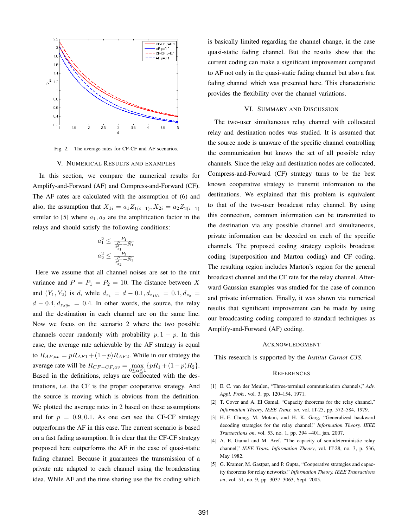

Fig. 2. The average rates for CF-CF and AF scenarios.

#### V. NUMERICAL RESULTS AND EXAMPLES

In this section, we compare the numerical results for Amplify-and-Forward (AF) and Compress-and-Forward (CF). The AF rates are calculated with the assumption of (6) and also, the assumption that  $X_{1i} = a_1 Z_{1(i-1)}, X_{2i} = a_2 Z_{2(i-1)}$ similar to [5] where  $a_1, a_2$  are the amplification factor in the relays and should satisfy the following conditions:

$$
\begin{array}{c}a_1^2\leq\frac{P_1}{\frac{P}{d_{2_1}^s}+\tilde{N}_1}\\a_2^2\leq\frac{P_2}{\frac{P}{d_{2_2}^s}+\tilde{N}_2}\end{array}
$$

Here we assume that all channel noises are set to the unit variance and  $P = P_1 = P_2 = 10$ . The distance between X and  $(Y_1, Y_2)$  is d, while  $d_{z_1} = d - 0.1, d_{z_1y_1} = 0.1, d_{z_2} =$  $d - 0.4, d_{z_2y_2} = 0.4$ . In other words, the source, the relay and the destination in each channel are on the same line. Now we focus on the scenario 2 where the two possible channels occur randomly with probability  $p$ ,  $1 - p$ . In this case, the average rate achievable by the AF strategy is equal to  $R_{AF,av} = pR_{AF1} + (1-p)R_{AF2}$ . While in our strategy the average rate will be  $R_{CF-CF,av} = \max_{0 \le \alpha \le 1} \{pR_1 + (1-p)R_2\}.$ Based in the definitions, relays are collocated with the destinations, i.e. the CF is the proper cooperative strategy. And the source is moving which is obvious from the definition. We plotted the average rates in 2 based on these assumptions and for  $p = 0.9, 0.1$ . As one can see the CF-CF strategy outperforms the AF in this case. The current scenario is based on a fast fading assumption. It is clear that the CF-CF strategy proposed here outperforms the AF in the case of quasi-static fading channel. Because it guarantees the transmission of a private rate adapted to each channel using the broadcasting idea. While AF and the time sharing use the fix coding which

is basically limited regarding the channel change, in the case quasi-static fading channel. But the results show that the current coding can make a significant improvement compared to AF not only in the quasi-static fading channel but also a fast fading channel which was presented here. This characteristic provides the flexibility over the channel variations.

#### VI. SUMMARY AND DISCUSSION

The two-user simultaneous relay channel with collocated relay and destination nodes was studied. It is assumed that the source node is unaware of the specific channel controlling the communication but knows the set of all possible relay channels. Since the relay and destination nodes are collocated, Compress-and-Forward (CF) strategy turns to be the best known cooperative strategy to transmit information to the destinations. We explained that this problem is equivalent to that of the two-user broadcast relay channel. By using this connection, common information can be transmitted to the destination via any possible channel and simultaneous, private information can be decoded on each of the specific channels. The proposed coding strategy exploits broadcast coding (superposition and Marton coding) and CF coding. The resulting region includes Marton's region for the general broadcast channel and the CF rate for the relay channel. Afterward Gaussian examples was studied for the case of common and private information. Finally, it was shown via numerical results that significant improvement can be made by using our broadcasting coding compared to standard techniques as Amplify-and-Forward (AF) coding.

#### ACKNOWLEDGMENT

This research is supported by the *Institut Carnot C3S*.

#### **REFERENCES**

- [1] E. C. van der Meulen, "Three-terminal communication channels," *Adv. Appl. Prob.*, vol. 3, pp. 120–154, 1971.
- [2] T. Cover and A. El Gamal, "Capacity theorems for the relay channel," *Information Theory, IEEE Trans. on*, vol. IT-25, pp. 572–584, 1979.
- [3] H.-F. Chong, M. Motani, and H. K. Garg, "Generalized backward decoding strategies for the relay channel," *Information Theory, IEEE Transactions on*, vol. 53, no. 1, pp. 394 –401, jan. 2007.
- [4] A. E. Gamal and M. Aref, "The capacity of semideterministic relay channel," *IEEE Trans. Information Theory*, vol. IT-28, no. 3, p. 536, May 1982.
- [5] G. Kramer, M. Gastpar, and P. Gupta, "Cooperative strategies and capacity theorems for relay networks," *Information Theory, IEEE Transactions on*, vol. 51, no. 9, pp. 3037–3063, Sept. 2005.